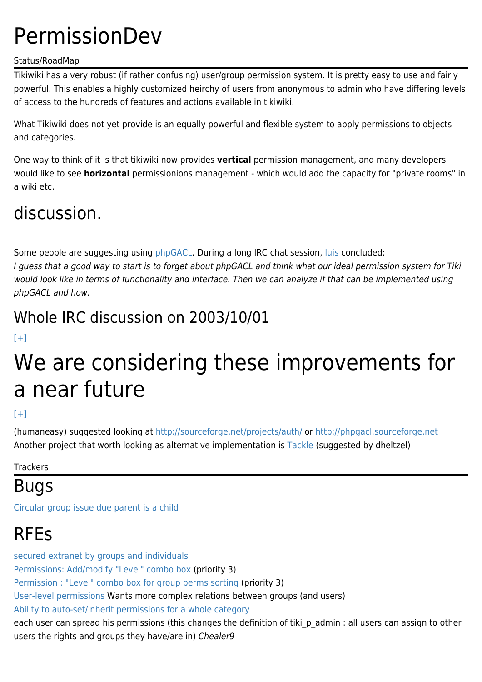# **PermissionDev**

#### Status/RoadMap

Tikiwiki has a very robust (if rather confusing) user/group permission system. It is pretty easy to use and fairly powerful. This enables a highly customized heirchy of users from anonymous to admin who have differing levels of access to the hundreds of features and actions available in tikiwiki.

What Tikiwiki does not yet provide is an equally powerful and flexible system to apply permissions to objects and categories.

One way to think of it is that tikiwiki now provides **vertical** permission management, and many developers would like to see **horizontal** permissionions management - which would add the capacity for "private rooms" in a wiki etc.

## discussion.

Some people are suggesting using [phpGACL.](https://tiki.org/PhpGaclDev) During a long IRC chat session, [luis](https://tiki.org/AboutLuisArgerich) concluded:

I guess that a good way to start is to forget about phpGACL and think what our ideal permission system for Tiki would look like in terms of functionality and interface. Then we can analyze if that can be implemented using phpGACL and how.

### Whole IRC discussion on 2003/10/01

#### $[+]$

# We are considering these improvements for a near future

### $[+]$

(humaneasy) suggested looking at<http://sourceforge.net/projects/auth/> or <http://phpgacl.sourceforge.net> Another project that worth looking as alternative implementation is [Tackle](http://www.arscognita.com/ace/index.php?module=ContentExpress&func=display&ceid=42) (suggested by dheltzel)

**Trackers** 

## Bugs

[Circular group issue due parent is a child](http://sourceforge.net/tracker/?group_id=64258&atid=506846&func=detail&aid=993169)

## RFEs

[secured extranet by groups and individuals](http://sourceforge.net/tracker/?group_id=64258&atid=506849&func=detail&aid=821827) [Permissions: Add/modify "Level" combo box](http://sourceforge.net/tracker/?func=detail&atid=506846&aid=841567&group_id=64258) (priority 3) [Permission : "Level" combo box for group perms sorting](http://sourceforge.net/tracker/?group_id=64258&atid=506849&func=detail&aid=843053) (priority 3) [User-level permissions](http://sourceforge.net/tracker/?group_id=64258&atid=506849&func=detail&aid=682513) Wants more complex relations between groups (and users) [Ability to auto-set/inherit permissions for a whole category](http://sourceforge.net/tracker/?group_id=64258&atid=506849&func=detail&aid=843633) each user can spread his permissions (this changes the definition of tiki\_p\_admin : all users can assign to other users the rights and groups they have/are in) Chealer9